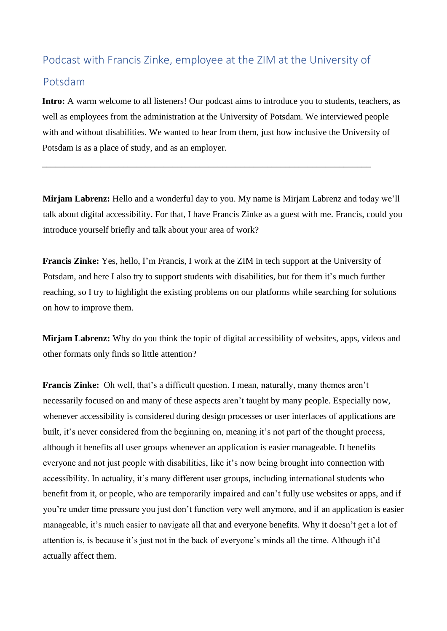## Podcast with Francis Zinke, employee at the ZIM at the University of

\_\_\_\_\_\_\_\_\_\_\_\_\_\_\_\_\_\_\_\_\_\_\_\_\_\_\_\_\_\_\_\_\_\_\_\_\_\_\_\_\_\_\_\_\_\_\_\_\_\_\_\_\_\_\_\_\_\_\_\_\_\_\_\_\_\_\_\_\_\_\_\_\_

## Potsdam

**Intro:** A warm welcome to all listeners! Our podcast aims to introduce you to students, teachers, as well as employees from the administration at the University of Potsdam. We interviewed people with and without disabilities. We wanted to hear from them, just how inclusive the University of Potsdam is as a place of study, and as an employer.

**Mirjam Labrenz:** Hello and a wonderful day to you. My name is Mirjam Labrenz and today we'll talk about digital accessibility. For that, I have Francis Zinke as a guest with me. Francis, could you introduce yourself briefly and talk about your area of work?

**Francis Zinke:** Yes, hello, I'm Francis, I work at the ZIM in tech support at the University of Potsdam, and here I also try to support students with disabilities, but for them it's much further reaching, so I try to highlight the existing problems on our platforms while searching for solutions on how to improve them.

**Mirjam Labrenz:** Why do you think the topic of digital accessibility of websites, apps, videos and other formats only finds so little attention?

**Francis Zinke:** Oh well, that's a difficult question. I mean, naturally, many themes aren't necessarily focused on and many of these aspects aren't taught by many people. Especially now, whenever accessibility is considered during design processes or user interfaces of applications are built, it's never considered from the beginning on, meaning it's not part of the thought process, although it benefits all user groups whenever an application is easier manageable. It benefits everyone and not just people with disabilities, like it's now being brought into connection with accessibility. In actuality, it's many different user groups, including international students who benefit from it, or people, who are temporarily impaired and can't fully use websites or apps, and if you're under time pressure you just don't function very well anymore, and if an application is easier manageable, it's much easier to navigate all that and everyone benefits. Why it doesn't get a lot of attention is, is because it's just not in the back of everyone's minds all the time. Although it'd actually affect them.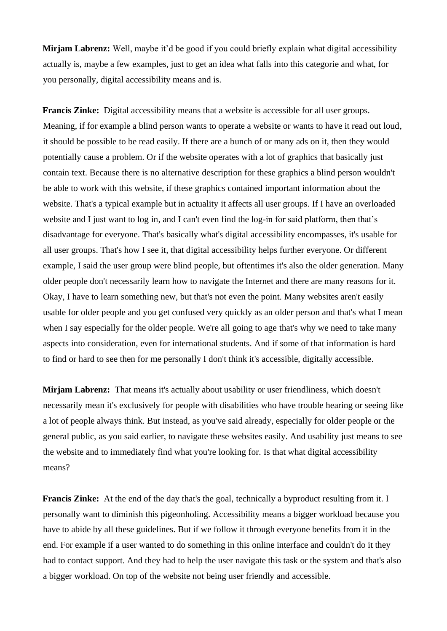**Mirjam Labrenz:** Well, maybe it'd be good if you could briefly explain what digital accessibility actually is, maybe a few examples, just to get an idea what falls into this categorie and what, for you personally, digital accessibility means and is.

**Francis Zinke:** Digital accessibility means that a website is accessible for all user groups. Meaning, if for example a blind person wants to operate a website or wants to have it read out loud, it should be possible to be read easily. If there are a bunch of or many ads on it, then they would potentially cause a problem. Or if the website operates with a lot of graphics that basically just contain text. Because there is no alternative description for these graphics a blind person wouldn't be able to work with this website, if these graphics contained important information about the website. That's a typical example but in actuality it affects all user groups. If I have an overloaded website and I just want to log in, and I can't even find the log-in for said platform, then that's disadvantage for everyone. That's basically what's digital accessibility encompasses, it's usable for all user groups. That's how I see it, that digital accessibility helps further everyone. Or different example, I said the user group were blind people, but oftentimes it's also the older generation. Many older people don't necessarily learn how to navigate the Internet and there are many reasons for it. Okay, I have to learn something new, but that's not even the point. Many websites aren't easily usable for older people and you get confused very quickly as an older person and that's what I mean when I say especially for the older people. We're all going to age that's why we need to take many aspects into consideration, even for international students. And if some of that information is hard to find or hard to see then for me personally I don't think it's accessible, digitally accessible.

**Mirjam Labrenz:** That means it's actually about usability or user friendliness, which doesn't necessarily mean it's exclusively for people with disabilities who have trouble hearing or seeing like a lot of people always think. But instead, as you've said already, especially for older people or the general public, as you said earlier, to navigate these websites easily. And usability just means to see the website and to immediately find what you're looking for. Is that what digital accessibility means?

**Francis Zinke:** At the end of the day that's the goal, technically a byproduct resulting from it. I personally want to diminish this pigeonholing. Accessibility means a bigger workload because you have to abide by all these guidelines. But if we follow it through everyone benefits from it in the end. For example if a user wanted to do something in this online interface and couldn't do it they had to contact support. And they had to help the user navigate this task or the system and that's also a bigger workload. On top of the website not being user friendly and accessible.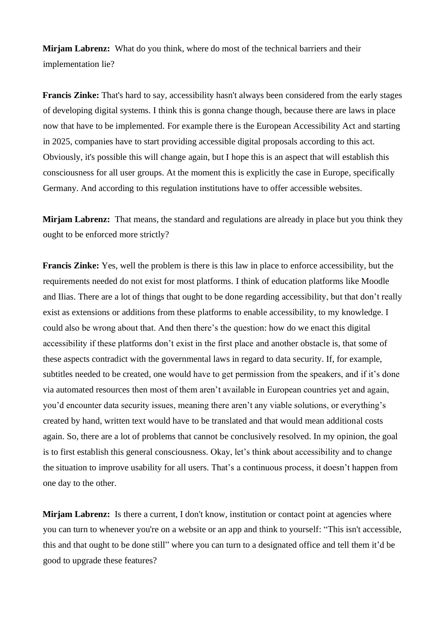**Mirjam Labrenz:** What do you think, where do most of the technical barriers and their implementation lie?

**Francis Zinke:** That's hard to say, accessibility hasn't always been considered from the early stages of developing digital systems. I think this is gonna change though, because there are laws in place now that have to be implemented. For example there is the European Accessibility Act and starting in 2025, companies have to start providing accessible digital proposals according to this act. Obviously, it's possible this will change again, but I hope this is an aspect that will establish this consciousness for all user groups. At the moment this is explicitly the case in Europe, specifically Germany. And according to this regulation institutions have to offer accessible websites.

**Mirjam Labrenz:** That means, the standard and regulations are already in place but you think they ought to be enforced more strictly?

**Francis Zinke:** Yes, well the problem is there is this law in place to enforce accessibility, but the requirements needed do not exist for most platforms. I think of education platforms like Moodle and Ilias. There are a lot of things that ought to be done regarding accessibility, but that don't really exist as extensions or additions from these platforms to enable accessibility, to my knowledge. I could also be wrong about that. And then there's the question: how do we enact this digital accessibility if these platforms don't exist in the first place and another obstacle is, that some of these aspects contradict with the governmental laws in regard to data security. If, for example, subtitles needed to be created, one would have to get permission from the speakers, and if it's done via automated resources then most of them aren't available in European countries yet and again, you'd encounter data security issues, meaning there aren't any viable solutions, or everything's created by hand, written text would have to be translated and that would mean additional costs again. So, there are a lot of problems that cannot be conclusively resolved. In my opinion, the goal is to first establish this general consciousness. Okay, let's think about accessibility and to change the situation to improve usability for all users. That's a continuous process, it doesn't happen from one day to the other.

**Mirjam Labrenz:** Is there a current, I don't know, institution or contact point at agencies where you can turn to whenever you're on a website or an app and think to yourself: "This isn't accessible, this and that ought to be done still" where you can turn to a designated office and tell them it'd be good to upgrade these features?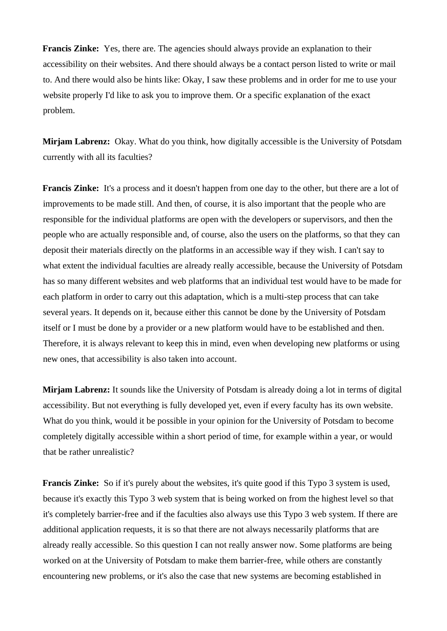**Francis Zinke:** Yes, there are. The agencies should always provide an explanation to their accessibility on their websites. And there should always be a contact person listed to write or mail to. And there would also be hints like: Okay, I saw these problems and in order for me to use your website properly I'd like to ask you to improve them. Or a specific explanation of the exact problem.

**Mirjam Labrenz:** Okay. What do you think, how digitally accessible is the University of Potsdam currently with all its faculties?

**Francis Zinke:** It's a process and it doesn't happen from one day to the other, but there are a lot of improvements to be made still. And then, of course, it is also important that the people who are responsible for the individual platforms are open with the developers or supervisors, and then the people who are actually responsible and, of course, also the users on the platforms, so that they can deposit their materials directly on the platforms in an accessible way if they wish. I can't say to what extent the individual faculties are already really accessible, because the University of Potsdam has so many different websites and web platforms that an individual test would have to be made for each platform in order to carry out this adaptation, which is a multi-step process that can take several years. It depends on it, because either this cannot be done by the University of Potsdam itself or I must be done by a provider or a new platform would have to be established and then. Therefore, it is always relevant to keep this in mind, even when developing new platforms or using new ones, that accessibility is also taken into account.

**Mirjam Labrenz:** It sounds like the University of Potsdam is already doing a lot in terms of digital accessibility. But not everything is fully developed yet, even if every faculty has its own website. What do you think, would it be possible in your opinion for the University of Potsdam to become completely digitally accessible within a short period of time, for example within a year, or would that be rather unrealistic?

**Francis Zinke:** So if it's purely about the websites, it's quite good if this Typo 3 system is used, because it's exactly this Typo 3 web system that is being worked on from the highest level so that it's completely barrier-free and if the faculties also always use this Typo 3 web system. If there are additional application requests, it is so that there are not always necessarily platforms that are already really accessible. So this question I can not really answer now. Some platforms are being worked on at the University of Potsdam to make them barrier-free, while others are constantly encountering new problems, or it's also the case that new systems are becoming established in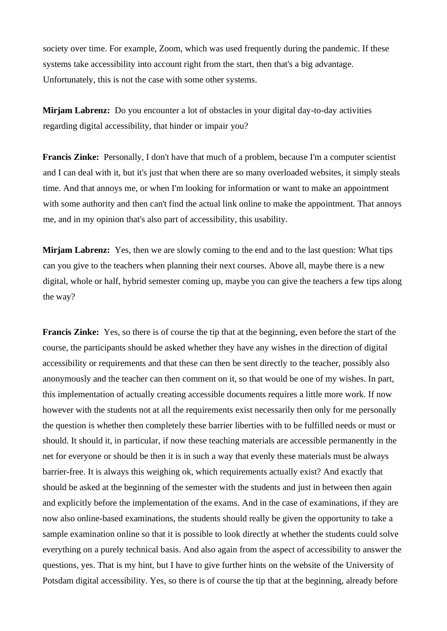society over time. For example, Zoom, which was used frequently during the pandemic. If these systems take accessibility into account right from the start, then that's a big advantage. Unfortunately, this is not the case with some other systems.

**Mirjam Labrenz:** Do you encounter a lot of obstacles in your digital day-to-day activities regarding digital accessibility, that hinder or impair you?

**Francis Zinke:** Personally, I don't have that much of a problem, because I'm a computer scientist and I can deal with it, but it's just that when there are so many overloaded websites, it simply steals time. And that annoys me, or when I'm looking for information or want to make an appointment with some authority and then can't find the actual link online to make the appointment. That annoys me, and in my opinion that's also part of accessibility, this usability.

**Mirjam Labrenz:** Yes, then we are slowly coming to the end and to the last question: What tips can you give to the teachers when planning their next courses. Above all, maybe there is a new digital, whole or half, hybrid semester coming up, maybe you can give the teachers a few tips along the way?

**Francis Zinke:** Yes, so there is of course the tip that at the beginning, even before the start of the course, the participants should be asked whether they have any wishes in the direction of digital accessibility or requirements and that these can then be sent directly to the teacher, possibly also anonymously and the teacher can then comment on it, so that would be one of my wishes. In part, this implementation of actually creating accessible documents requires a little more work. If now however with the students not at all the requirements exist necessarily then only for me personally the question is whether then completely these barrier liberties with to be fulfilled needs or must or should. It should it, in particular, if now these teaching materials are accessible permanently in the net for everyone or should be then it is in such a way that evenly these materials must be always barrier-free. It is always this weighing ok, which requirements actually exist? And exactly that should be asked at the beginning of the semester with the students and just in between then again and explicitly before the implementation of the exams. And in the case of examinations, if they are now also online-based examinations, the students should really be given the opportunity to take a sample examination online so that it is possible to look directly at whether the students could solve everything on a purely technical basis. And also again from the aspect of accessibility to answer the questions, yes. That is my hint, but I have to give further hints on the website of the University of Potsdam digital accessibility. Yes, so there is of course the tip that at the beginning, already before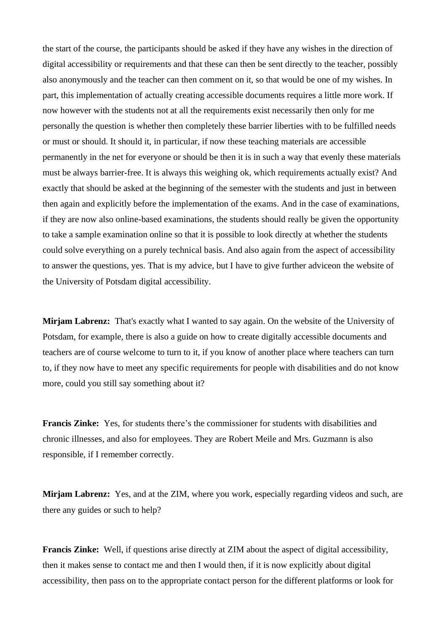the start of the course, the participants should be asked if they have any wishes in the direction of digital accessibility or requirements and that these can then be sent directly to the teacher, possibly also anonymously and the teacher can then comment on it, so that would be one of my wishes. In part, this implementation of actually creating accessible documents requires a little more work. If now however with the students not at all the requirements exist necessarily then only for me personally the question is whether then completely these barrier liberties with to be fulfilled needs or must or should. It should it, in particular, if now these teaching materials are accessible permanently in the net for everyone or should be then it is in such a way that evenly these materials must be always barrier-free. It is always this weighing ok, which requirements actually exist? And exactly that should be asked at the beginning of the semester with the students and just in between then again and explicitly before the implementation of the exams. And in the case of examinations, if they are now also online-based examinations, the students should really be given the opportunity to take a sample examination online so that it is possible to look directly at whether the students could solve everything on a purely technical basis. And also again from the aspect of accessibility to answer the questions, yes. That is my advice, but I have to give further adviceon the website of the University of Potsdam digital accessibility.

**Mirjam Labrenz:** That's exactly what I wanted to say again. On the website of the University of Potsdam, for example, there is also a guide on how to create digitally accessible documents and teachers are of course welcome to turn to it, if you know of another place where teachers can turn to, if they now have to meet any specific requirements for people with disabilities and do not know more, could you still say something about it?

**Francis Zinke:** Yes, for students there's the commissioner for students with disabilities and chronic illnesses, and also for employees. They are Robert Meile and Mrs. Guzmann is also responsible, if I remember correctly.

**Mirjam Labrenz:** Yes, and at the ZIM, where you work, especially regarding videos and such, are there any guides or such to help?

**Francis Zinke:** Well, if questions arise directly at ZIM about the aspect of digital accessibility, then it makes sense to contact me and then I would then, if it is now explicitly about digital accessibility, then pass on to the appropriate contact person for the different platforms or look for